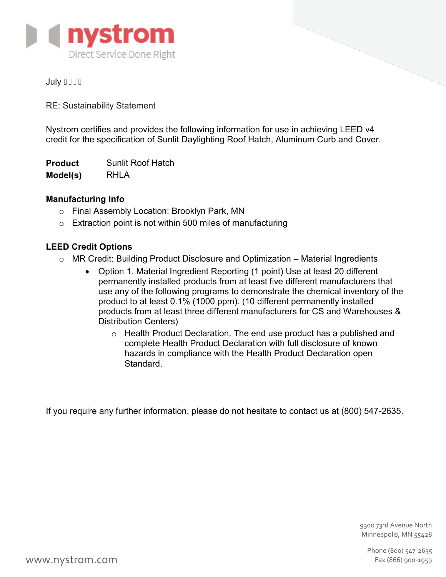

# **July GEGF**

RE: Sustainability Statement

Nystrom certifies and provides the following information for use in achieving LEED v4 credit for the specification of Sunlit Daylighting Roof Hatch, Aluminum Curb and Cover.

**Product Model(s)** Sunlit Roof Hatch RHI A

# **Manufacturing Info**

- o Final Assembly Location: Brooklyn Park, MN
- $\circ$  Extraction point is not within 500 miles of manufacturing

# **LEED Credit Options**

- o MR Credit: Building Product Disclosure and Optimization Material Ingredients
	- Option 1. Material Ingredient Reporting (1 point) Use at least 20 different permanently installed products from at least five different manufacturers that use any of the following programs to demonstrate the chemical inventory of the product to at least 0.1% (1000 ppm). (10 different permanently installed products from at least three different manufacturers for CS and Warehouses & Distribution Centers)
		- o Health Product Declaration. The end use product has a published and complete Health Product Declaration with full disclosure of known hazards in compliance with the Health Product Declaration open Standard.

If you require any further information, please do not hesitate to contact us at (800) 547-2635.

9300 73rd Avenue North Minneapolis, MN 55428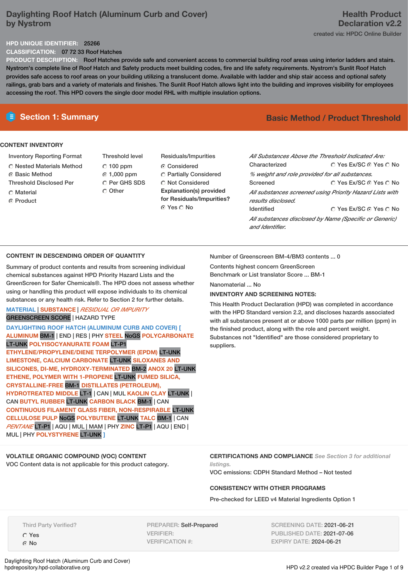# **Daylighting Roof Hatch (Aluminum Curb and Cover) by Nystrom**

#### **HPD UNIQUE IDENTIFIER:** 25266

**CLASSIFICATION:** 07 72 33 Roof Hatches

**PRODUCT DESCRIPTION:** Roof Hatches provide safe and convenient access to commercial building roof areas using interior ladders and stairs. Nystrom's complete line of Roof Hatch and Safety products meet building codes, fire and life safety requirements. Nystrom's Sunlit Roof Hatch provides safe access to roof areas on your building utilizing a translucent dome. Available with ladder and ship stair access and optional safety railings, grab bars and a variety of materials and finishes. The Sunlit Roof Hatch allows light into the building and improves visibility for employees accessing the roof. This HPD covers the single door model RHL with multiple insulation options.

#### **CONTENT INVENTORY**

- Inventory Reporting Format
- Nested Materials Method
- **G** Basic Method
- Threshold Disclosed Per
- C Material
- Product
- Threshold level  $C$  100 ppm 1,000 ppm C Per GHS SDS O Other
- Residuals/Impurities Considered Partially Considered  $\bigcirc$  Not Considered **Explanation(s) provided for Residuals/Impurities?** © Yes ∩ No

# **E** Section 1: Summary **Basic Method /** Product Threshold

| All Substances Above the Threshold Indicated Are:                              |                        |  |  |  |  |
|--------------------------------------------------------------------------------|------------------------|--|--|--|--|
| Characterized                                                                  | ∩ Yes Ex/SC ∩ Yes ∩ No |  |  |  |  |
| % weight and role provided for all substances.                                 |                        |  |  |  |  |
| Screened                                                                       | ∩ Yes Ex/SC ∩ Yes ∩ No |  |  |  |  |
| All substances screened using Priority Hazard Lists with<br>results disclosed. |                        |  |  |  |  |
| <b>Identified</b>                                                              | ∩ Yes Ex/SC ∩ Yes ∩ No |  |  |  |  |
| All substances disclosed by Name (Specific or Generic)<br>and Identifier.      |                        |  |  |  |  |

#### **CONTENT IN DESCENDING ORDER OF QUANTITY**

Summary of product contents and results from screening individual chemical substances against HPD Priority Hazard Lists and the GreenScreen for Safer Chemicals®. The HPD does not assess whether using or handling this product will expose individuals to its chemical substances or any health risk. Refer to Section 2 for further details.

#### **MATERIAL** | **SUBSTANCE** | *RESIDUAL OR IMPURITY* GREENSCREEN SCORE | HAZARD TYPE

**DAYLIGHTING ROOF HATCH (ALUMINUM CURB AND COVER) [ ALUMINUM** BM-1 | END | RES | PHY **STEEL** NoGS **POLYCARBONATE** LT-UNK **POLYISOCYANURATE FOAM** LT-P1 **ETHYLENE/PROPYLENE/DIENE TERPOLYMER (EPDM)** LT-UNK **LIMESTONE, CALCIUM CARBONATE** LT-UNK **SILOXANES AND SILICONES, DI-ME, HYDROXY-TERMINATED** BM-2 **ANOX 20** LT-UNK **ETHENE, POLYMER WITH 1-PROPENE** LT-UNK **FUMED SILICA, CRYSTALLINE-FREE** BM-1 **DISTILLATES (PETROLEUM), HYDROTREATED MIDDLE** LT-1 | CAN | MUL **KAOLIN CLAY** LT-UNK | CAN **BUTYL RUBBER** LT-UNK **CARBON BLACK** BM-1 | CAN **CONTINUOUS FILAMENT GLASS FIBER, NON-RESPIRABLE** LT-UNK **CELLULOSE PULP** NoGS **POLYBUTENE** LT-UNK **TALC** BM-1 | CAN *PENTANE* LT-P1 | AQU | MUL | MAM | PHY **ZINC** LT-P1 | AQU | END | MUL | PHY **POLYSTYRENE** LT-UNK **]**

Number of Greenscreen BM-4/BM3 contents ... 0

Contents highest concern GreenScreen Benchmark or List translator Score ... BM-1

# Nanomaterial ... No

### **INVENTORY AND SCREENING NOTES:**

This Health Product Declaration (HPD) was completed in accordance with the HPD Standard version 2.2, and discloses hazards associated with all substances present at or above 1000 parts per million (ppm) in the finished product, along with the role and percent weight. Substances not "Identified" are those considered proprietary to suppliers.

**VOLATILE ORGANIC COMPOUND (VOC) CONTENT** VOC Content data is not applicable for this product category. **CERTIFICATIONS AND COMPLIANCE** *See Section 3 for additional listings.*

VOC emissions: CDPH Standard Method – Not tested

#### **CONSISTENCY WITH OTHER PROGRAMS**

Pre-checked for LEED v4 Material Ingredients Option 1

Third Party Verified?

Yes No

PREPARER: Self-Prepared VERIFIER: VERIFICATION #:

SCREENING DATE: 2021-06-21 PUBLISHED DATE: 2021-07-06 EXPIRY DATE: 2024-06-21

Daylighting Roof Hatch (Aluminum Curb and Cover)<br>hpdrepository.hpd-collaborative.org

HPD v2.2 created via HPDC Builder Page 1 of 9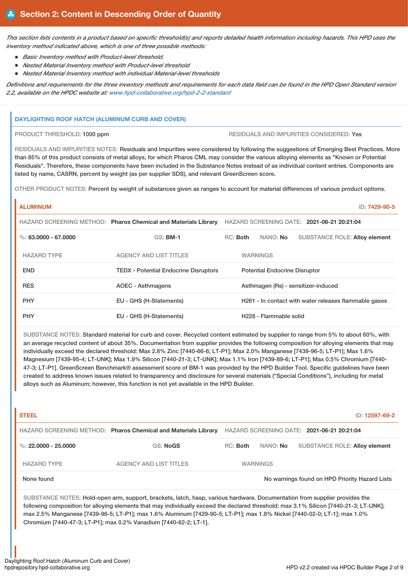This section lists contents in a product based on specific threshold(s) and reports detailed health information including hazards. This HPD uses the *inventory method indicated above, which is one of three possible methods:*

- *Basic Inventory method with Product-level threshold.*
- *Nested Material Inventory method with Product-level threshold*
- *Nested Material Inventory method with individual Material-level thresholds*

Definitions and requirements for the three inventory methods and requirements for each data field can be found in the HPD Open Standard version *2.2, available on the HPDC website at: [www.hpd-collaborative.org/hpd-2-2-standard](https://www.hpd-collaborative.org/hpd-2-2-standard)*

#### **DAYLIGHTING ROOF HATCH (ALUMINUM CURB AND COVER)**

PRODUCT THRESHOLD: 1000 ppm RESIDUALS AND IMPURITIES CONSIDERED: Yes

RESIDUALS AND IMPURITIES NOTES: Residuals and Impurities were considered by following the suggestions of Emerging Best Practices. More than 85% of this product consists of metal alloys, for which Pharos CML may consider the various alloying elements as "Known or Potential Residuals". Therefore, these components have been included in the Substance Notes instead of as individual content entries. Components are listed by name, CASRN, percent by weight (as per supplier SDS), and relevant GreenScreen score.

OTHER PRODUCT NOTES: Percent by weight of substances given as ranges to account for material differences of various product options.

#### **ALUMINUM** ID: **7429-90-5**

|                      | HAZARD SCREENING METHOD: Pharos Chemical and Materials Library | HAZARD SCREENING DATE: 2021-06-21 20:21:04            |  |                                     |                                      |  |
|----------------------|----------------------------------------------------------------|-------------------------------------------------------|--|-------------------------------------|--------------------------------------|--|
| %: 63,0000 - 67,0000 | $GS:$ BM-1                                                     | RC: Both                                              |  | NANO: No                            | <b>SUBSTANCE ROLE: Alloy element</b> |  |
| <b>HAZARD TYPE</b>   | <b>AGENCY AND LIST TITLES</b>                                  | <b>WARNINGS</b>                                       |  |                                     |                                      |  |
| <b>END</b>           | <b>TEDX</b> - Potential Endocrine Disruptors                   | <b>Potential Endocrine Disruptor</b>                  |  |                                     |                                      |  |
| <b>RES</b>           | AOEC - Asthmagens                                              |                                                       |  | Asthmagen (Rs) - sensitizer-induced |                                      |  |
| <b>PHY</b>           | EU - GHS (H-Statements)                                        | H261 - In contact with water releases flammable gases |  |                                     |                                      |  |
| <b>PHY</b>           | EU - GHS (H-Statements)                                        |                                                       |  | H <sub>228</sub> - Flammable solid  |                                      |  |

SUBSTANCE NOTES: Standard material for curb and cover. Recycled content estimated by supplier to range from 5% to about 60%, with an average recycled content of about 35%. Documentation from supplier provides the following composition for alloying elements that may individually exceed the declared threshold: Max 2.8% Zinc [7440-66-6; LT-P1]; Max 2.0% Manganese [7439-96-5; LT-P1]; Max 1.6% Magnesium [7439-95-4; LT-UNK]; Max 1.9% Silicon [7440-21-3; LT-UNK]; Max 1.1% Iron [7439-89-6; LT-P1]; Max 0.5% Chromium [7440- 47-3; LT-P1]. GreenScreen Benchmark® assessment score of BM-1 was provided by the HPD Builder Tool. Specific guidelines have been created to address known issues related to transparency and disclosure for several materials ("Special Conditions"), including for metal alloys such as Aluminum; however, this function is not yet available in the HPD Builder.

# **STEEL** ID: **12597-69-2** HAZARD SCREENING METHOD: **Pharos Chemical and Materials Library** HAZARD SCREENING DATE: **2021-06-21 20:21:04** %: **22.0000 - 25.0000** GS: NoGS RGGS RGG: Both NANO: No SUBSTANCE ROLE: Alloy element HAZARD TYPE AGENCY AND LIST TITLES WARNINGS None found Now arrings found on HPD Priority Hazard Lists

SUBSTANCE NOTES: Hold-open arm, support, brackets, latch, hasp, various hardware. Documentation from supplier provides the following composition for alloying elements that may individually exceed the declared threshold: max 3.1% Silicon [7440-21-3; LT-UNK]; max 2.5% Manganese [7439-96-5; LT-P1]; max 1.6% Aluminum [7429-90-5; LT-P1]; max 1.8% Nickel [7440-02-0; LT-1]; max 1.0% Chromium [7440-47-3; LT-P1]; max 0.2% Vanadium [7440-62-2; LT-1].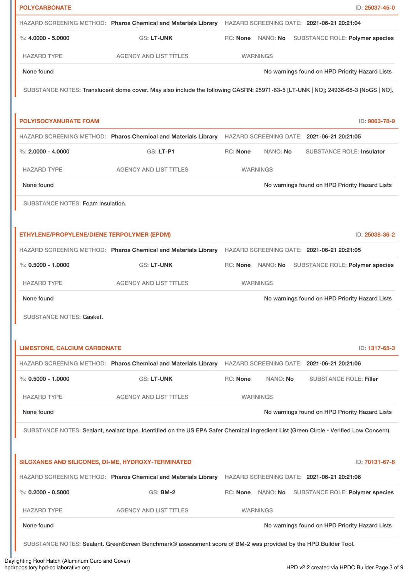| <b>POLYCARBONATE</b>                               |                                                                                                                                        |                             | ID: 25037-45-0                                 |
|----------------------------------------------------|----------------------------------------------------------------------------------------------------------------------------------------|-----------------------------|------------------------------------------------|
|                                                    | HAZARD SCREENING METHOD: Pharos Chemical and Materials Library HAZARD SCREENING DATE: 2021-06-21 20:21:04                              |                             |                                                |
| $\%: 4.0000 - 5.0000$                              | <b>GS: LT-UNK</b>                                                                                                                      | RC: None NANO: No           | <b>SUBSTANCE ROLE: Polymer species</b>         |
| <b>HAZARD TYPE</b>                                 | <b>AGENCY AND LIST TITLES</b>                                                                                                          | <b>WARNINGS</b>             |                                                |
| None found                                         |                                                                                                                                        |                             | No warnings found on HPD Priority Hazard Lists |
|                                                    | SUBSTANCE NOTES: Translucent dome cover. May also include the following CASRN: 25971-63-5 [LT-UNK   NO]; 24936-68-3 [NoGS   NO].       |                             |                                                |
|                                                    |                                                                                                                                        |                             |                                                |
| <b>POLYISOCYANURATE FOAM</b>                       |                                                                                                                                        |                             | ID: 9063-78-9                                  |
|                                                    | HAZARD SCREENING METHOD: Pharos Chemical and Materials Library HAZARD SCREENING DATE: 2021-06-21 20:21:05                              |                             |                                                |
| %: $2,0000 - 4,0000$                               | <b>GS: LT-P1</b>                                                                                                                       | <b>RC: None</b><br>NANO: No | <b>SUBSTANCE ROLE: Insulator</b>               |
| <b>HAZARD TYPE</b>                                 | <b>AGENCY AND LIST TITLES</b>                                                                                                          | <b>WARNINGS</b>             |                                                |
| None found                                         |                                                                                                                                        |                             | No warnings found on HPD Priority Hazard Lists |
| SUBSTANCE NOTES: Foam insulation.                  |                                                                                                                                        |                             |                                                |
|                                                    |                                                                                                                                        |                             |                                                |
| ETHYLENE/PROPYLENE/DIENE TERPOLYMER (EPDM)         |                                                                                                                                        |                             | ID: 25038-36-2                                 |
|                                                    | HAZARD SCREENING METHOD: Pharos Chemical and Materials Library HAZARD SCREENING DATE: 2021-06-21 20:21:05                              |                             |                                                |
| $\%: 0.5000 - 1.0000$                              | <b>GS: LT-UNK</b>                                                                                                                      | RC: None NANO: No           | SUBSTANCE ROLE: Polymer species                |
| <b>HAZARD TYPE</b>                                 | <b>AGENCY AND LIST TITLES</b>                                                                                                          | <b>WARNINGS</b>             |                                                |
| None found                                         |                                                                                                                                        |                             | No warnings found on HPD Priority Hazard Lists |
| <b>SUBSTANCE NOTES: Gasket.</b>                    |                                                                                                                                        |                             |                                                |
|                                                    |                                                                                                                                        |                             |                                                |
| <b>LIMESTONE, CALCIUM CARBONATE</b>                |                                                                                                                                        |                             | ID: 1317-65-3                                  |
|                                                    | HAZARD SCREENING METHOD: Pharos Chemical and Materials Library HAZARD SCREENING DATE: 2021-06-21 20:21:06                              |                             |                                                |
| $\%$ : 0.5000 - 1.0000                             | <b>GS: LT-UNK</b>                                                                                                                      | RC: None<br>NANO: No        | <b>SUBSTANCE ROLE: Filler</b>                  |
| <b>HAZARD TYPE</b>                                 | <b>AGENCY AND LIST TITLES</b>                                                                                                          | <b>WARNINGS</b>             |                                                |
| None found                                         |                                                                                                                                        |                             | No warnings found on HPD Priority Hazard Lists |
|                                                    | SUBSTANCE NOTES: Sealant, sealant tape. Identified on the US EPA Safer Chemical Ingredient List (Green Circle - Verified Low Concern). |                             |                                                |
|                                                    |                                                                                                                                        |                             |                                                |
| SILOXANES AND SILICONES, DI-ME, HYDROXY-TERMINATED |                                                                                                                                        |                             | ID: 70131-67-8                                 |
|                                                    | HAZARD SCREENING METHOD: Pharos Chemical and Materials Library HAZARD SCREENING DATE: 2021-06-21 20:21:06                              |                             |                                                |
| %: $0.2000 - 0.5000$                               | <b>GS: BM-2</b>                                                                                                                        | RC: None NANO: No           | SUBSTANCE ROLE: Polymer species                |
| <b>HAZARD TYPE</b>                                 | <b>AGENCY AND LIST TITLES</b>                                                                                                          | <b>WARNINGS</b>             |                                                |
| None found                                         |                                                                                                                                        |                             | No warnings found on HPD Priority Hazard Lists |
|                                                    | SUBSTANCE NOTES: Sealant. GreenScreen Benchmark® assessment score of BM-2 was provided by the HPD Builder Tool.                        |                             |                                                |
|                                                    |                                                                                                                                        |                             |                                                |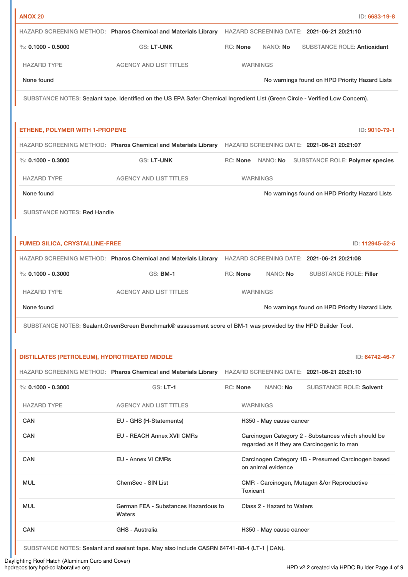| <b>ANOX 20</b>                               |                                                                                                                               |                 |                 |                                                   | ID: 6683-19-8   |
|----------------------------------------------|-------------------------------------------------------------------------------------------------------------------------------|-----------------|-----------------|---------------------------------------------------|-----------------|
|                                              | HAZARD SCREENING METHOD: Pharos Chemical and Materials Library HAZARD SCREENING DATE: 2021-06-21 20:21:10                     |                 |                 |                                                   |                 |
| %: $0.1000 - 0.5000$                         | <b>GS: LT-UNK</b>                                                                                                             | <b>RC:</b> None | NANO: No        | <b>SUBSTANCE ROLE: Antioxidant</b>                |                 |
| <b>HAZARD TYPE</b>                           | <b>AGENCY AND LIST TITLES</b>                                                                                                 |                 | <b>WARNINGS</b> |                                                   |                 |
| None found                                   |                                                                                                                               |                 |                 | No warnings found on HPD Priority Hazard Lists    |                 |
|                                              | SUBSTANCE NOTES: Sealant tape. Identified on the US EPA Safer Chemical Ingredient List (Green Circle - Verified Low Concern). |                 |                 |                                                   |                 |
| <b>ETHENE, POLYMER WITH 1-PROPENE</b>        |                                                                                                                               |                 |                 |                                                   | ID: 9010-79-1   |
|                                              | HAZARD SCREENING METHOD: Pharos Chemical and Materials Library HAZARD SCREENING DATE: 2021-06-21 20:21:07                     |                 |                 |                                                   |                 |
| $\%$ : 0.1000 - 0.3000                       | <b>GS: LT-UNK</b>                                                                                                             |                 |                 | RC: None NANO: No SUBSTANCE ROLE: Polymer species |                 |
| <b>HAZARD TYPE</b>                           | <b>AGENCY AND LIST TITLES</b>                                                                                                 |                 | <b>WARNINGS</b> |                                                   |                 |
| None found                                   |                                                                                                                               |                 |                 | No warnings found on HPD Priority Hazard Lists    |                 |
| <b>SUBSTANCE NOTES: Red Handle</b>           |                                                                                                                               |                 |                 |                                                   |                 |
|                                              |                                                                                                                               |                 |                 |                                                   |                 |
| <b>FUMED SILICA, CRYSTALLINE-FREE</b>        |                                                                                                                               |                 |                 |                                                   | ID: 112945-52-5 |
|                                              | HAZARD SCREENING METHOD: Pharos Chemical and Materials Library HAZARD SCREENING DATE: 2021-06-21 20:21:08                     |                 |                 |                                                   |                 |
| $\%$ : 0.1000 - 0.3000                       | <b>GS: BM-1</b>                                                                                                               | RC: None        | NANO: No        | <b>SUBSTANCE ROLE: Filler</b>                     |                 |
| <b>HAZARD TYPE</b>                           | <b>AGENCY AND LIST TITLES</b>                                                                                                 |                 | <b>WARNINGS</b> |                                                   |                 |
| None found                                   |                                                                                                                               |                 |                 | No warnings found on HPD Priority Hazard Lists    |                 |
|                                              | SUBSTANCE NOTES: Sealant.GreenScreen Benchmark® assessment score of BM-1 was provided by the HPD Builder Tool.                |                 |                 |                                                   |                 |
|                                              |                                                                                                                               |                 |                 |                                                   |                 |
| DISTILLATES (PETROLEUM), HYDROTREATED MIDDLE |                                                                                                                               |                 |                 |                                                   | ID: 64742-46-7  |
|                                              | HAZARD SCREENING METHOD: Pharos Chemical and Materials Library HAZARD SCREENING DATE: 2021-06-21 20:21:10                     |                 |                 |                                                   |                 |
| $\%$ : 0.1000 - 0.3000                       | <b>GS: LT-1</b>                                                                                                               | RC: None        | NANO: No        | <b>SUBSTANCE ROLE: Solvent</b>                    |                 |
|                                              |                                                                                                                               |                 |                 |                                                   |                 |

| <b>HAZARD TYPE</b> | <b>AGENCY AND LIST TITLES</b>                  | <b>WARNINGS</b>                                                                                   |
|--------------------|------------------------------------------------|---------------------------------------------------------------------------------------------------|
| <b>CAN</b>         | EU - GHS (H-Statements)                        | H350 - May cause cancer                                                                           |
| <b>CAN</b>         | <b>EU - REACH Annex XVII CMRs</b>              | Carcinogen Category 2 - Substances which should be<br>regarded as if they are Carcinogenic to man |
| CAN                | <b>EU - Annex VI CMRs</b>                      | Carcinogen Category 1B - Presumed Carcinogen based<br>on animal evidence                          |
| <b>MUL</b>         | ChemSec - SIN List                             | CMR - Carcinogen, Mutagen &/or Reproductive<br>Toxicant                                           |
| <b>MUL</b>         | German FEA - Substances Hazardous to<br>Waters | Class 2 - Hazard to Waters                                                                        |
| <b>CAN</b>         | GHS - Australia                                | H350 - May cause cancer                                                                           |

SUBSTANCE NOTES: Sealant and sealant tape. May also include CASRN 64741-88-4 (LT-1 | CAN).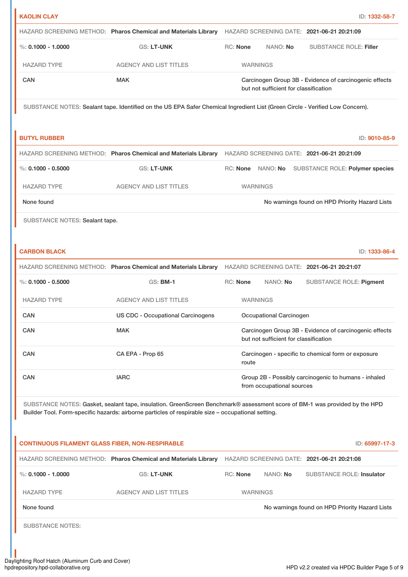| <b>KAOLIN CLAY</b>                                     |                                                                                                    | ID: 1332-58-7                                                                                                                 |
|--------------------------------------------------------|----------------------------------------------------------------------------------------------------|-------------------------------------------------------------------------------------------------------------------------------|
|                                                        |                                                                                                    | HAZARD SCREENING METHOD: Pharos Chemical and Materials Library HAZARD SCREENING DATE: 2021-06-21 20:21:09                     |
| $\%$ : 0.1000 - 1.0000                                 | <b>GS: LT-UNK</b>                                                                                  | RC: None<br>NANO: No<br><b>SUBSTANCE ROLE: Filler</b>                                                                         |
| <b>HAZARD TYPE</b>                                     | <b>AGENCY AND LIST TITLES</b>                                                                      | <b>WARNINGS</b>                                                                                                               |
| CAN                                                    | <b>MAK</b>                                                                                         | Carcinogen Group 3B - Evidence of carcinogenic effects<br>but not sufficient for classification                               |
|                                                        |                                                                                                    | SUBSTANCE NOTES: Sealant tape. Identified on the US EPA Safer Chemical Ingredient List (Green Circle - Verified Low Concern). |
| <b>BUTYL RUBBER</b>                                    |                                                                                                    | ID: 9010-85-9                                                                                                                 |
|                                                        |                                                                                                    | HAZARD SCREENING METHOD: Pharos Chemical and Materials Library HAZARD SCREENING DATE: 2021-06-21 20:21:09                     |
| $\%$ : 0.1000 - 0.5000                                 | <b>GS: LT-UNK</b>                                                                                  | SUBSTANCE ROLE: Polymer species<br>RC: None NANO: No                                                                          |
| <b>HAZARD TYPE</b>                                     | <b>AGENCY AND LIST TITLES</b>                                                                      | <b>WARNINGS</b>                                                                                                               |
| None found                                             |                                                                                                    | No warnings found on HPD Priority Hazard Lists                                                                                |
| SUBSTANCE NOTES: Sealant tape.                         |                                                                                                    |                                                                                                                               |
|                                                        |                                                                                                    |                                                                                                                               |
| <b>CARBON BLACK</b>                                    |                                                                                                    | ID: 1333-86-4                                                                                                                 |
|                                                        |                                                                                                    | HAZARD SCREENING METHOD: Pharos Chemical and Materials Library HAZARD SCREENING DATE: 2021-06-21 20:21:07                     |
| %: $0.1000 - 0.5000$                                   | <b>GS: BM-1</b>                                                                                    | RC: None<br>NANO: No<br><b>SUBSTANCE ROLE: Pigment</b>                                                                        |
| <b>HAZARD TYPE</b>                                     | <b>AGENCY AND LIST TITLES</b>                                                                      | <b>WARNINGS</b>                                                                                                               |
| CAN                                                    | <b>US CDC - Occupational Carcinogens</b>                                                           | <b>Occupational Carcinogen</b>                                                                                                |
| CAN                                                    | <b>MAK</b>                                                                                         | Carcinogen Group 3B - Evidence of carcinogenic effects<br>but not sufficient for classification                               |
| <b>CAN</b>                                             | CA EPA - Prop 65                                                                                   | Carcinogen - specific to chemical form or exposure<br>route                                                                   |
| <b>CAN</b>                                             | <b>IARC</b>                                                                                        | Group 2B - Possibly carcinogenic to humans - inhaled<br>from occupational sources                                             |
|                                                        | Builder Tool. Form-specific hazards: airborne particles of respirable size - occupational setting. | SUBSTANCE NOTES: Gasket, sealant tape, insulation. GreenScreen Benchmark® assessment score of BM-1 was provided by the HPD    |
| <b>CONTINUOUS FILAMENT GLASS FIBER, NON-RESPIRABLE</b> |                                                                                                    | ID: 65997-17-3                                                                                                                |
|                                                        |                                                                                                    | HAZARD SCREENING METHOD: Pharos Chemical and Materials Library HAZARD SCREENING DATE: 2021-06-21 20:21:08                     |
| %: $0.1000 - 1.0000$                                   | <b>GS: LT-UNK</b>                                                                                  | RC: None<br>NANO: No<br><b>SUBSTANCE ROLE: Insulator</b>                                                                      |
| <b>HAZARD TYPE</b>                                     | <b>AGENCY AND LIST TITLES</b>                                                                      | <b>WARNINGS</b>                                                                                                               |
| None found                                             |                                                                                                    | No warnings found on HPD Priority Hazard Lists                                                                                |
| <b>SUBSTANCE NOTES:</b>                                |                                                                                                    |                                                                                                                               |
|                                                        |                                                                                                    |                                                                                                                               |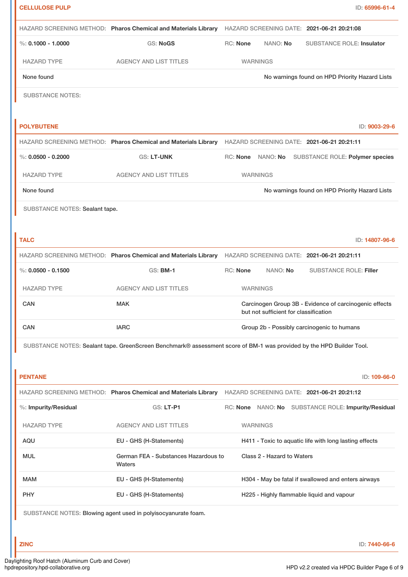| <b>CELLULOSE PULP</b>          |                                                               | ID: 65996-61-4                                                                                                       |
|--------------------------------|---------------------------------------------------------------|----------------------------------------------------------------------------------------------------------------------|
|                                |                                                               | HAZARD SCREENING METHOD: Pharos Chemical and Materials Library HAZARD SCREENING DATE: 2021-06-21 20:21:08            |
| %: $0.1000 - 1.0000$           | <b>GS: NoGS</b>                                               | <b>RC: None</b><br>NANO: No<br><b>SUBSTANCE ROLE: Insulator</b>                                                      |
| <b>HAZARD TYPE</b>             | <b>AGENCY AND LIST TITLES</b>                                 | <b>WARNINGS</b>                                                                                                      |
| None found                     |                                                               | No warnings found on HPD Priority Hazard Lists                                                                       |
| <b>SUBSTANCE NOTES:</b>        |                                                               |                                                                                                                      |
|                                |                                                               |                                                                                                                      |
| <b>POLYBUTENE</b>              |                                                               | ID: 9003-29-6                                                                                                        |
|                                |                                                               | HAZARD SCREENING METHOD: Pharos Chemical and Materials Library HAZARD SCREENING DATE: 2021-06-21 20:21:11            |
| %: $0.0500 - 0.2000$           | <b>GS: LT-UNK</b>                                             | RC: None NANO: No<br>SUBSTANCE ROLE: Polymer species                                                                 |
| <b>HAZARD TYPE</b>             | <b>AGENCY AND LIST TITLES</b>                                 | <b>WARNINGS</b>                                                                                                      |
| None found                     |                                                               | No warnings found on HPD Priority Hazard Lists                                                                       |
| SUBSTANCE NOTES: Sealant tape. |                                                               |                                                                                                                      |
|                                |                                                               |                                                                                                                      |
| <b>TALC</b>                    |                                                               | ID: 14807-96-6                                                                                                       |
|                                |                                                               | HAZARD SCREENING METHOD: Pharos Chemical and Materials Library HAZARD SCREENING DATE: 2021-06-21 20:21:11            |
| %: $0.0500 - 0.1500$           | <b>GS: BM-1</b>                                               | RC: None<br>NANO: No<br><b>SUBSTANCE ROLE: Filler</b>                                                                |
| <b>HAZARD TYPE</b>             | <b>AGENCY AND LIST TITLES</b>                                 | <b>WARNINGS</b>                                                                                                      |
| CAN                            | <b>MAK</b>                                                    | Carcinogen Group 3B - Evidence of carcinogenic effects<br>but not sufficient for classification                      |
| CAN                            | <b>IARC</b>                                                   | Group 2b - Possibly carcinogenic to humans                                                                           |
|                                |                                                               | SUBSTANCE NOTES: Sealant tape. GreenScreen Benchmark® assessment score of BM-1 was provided by the HPD Builder Tool. |
|                                |                                                               |                                                                                                                      |
| <b>PENTANE</b>                 |                                                               | ID: 109-66-0                                                                                                         |
|                                |                                                               | HAZARD SCREENING METHOD: Pharos Chemical and Materials Library HAZARD SCREENING DATE: 2021-06-21 20:21:12            |
| %: Impurity/Residual           | GS: LT-P1                                                     | RC: None NANO: No SUBSTANCE ROLE: Impurity/Residual                                                                  |
| <b>HAZARD TYPE</b>             | <b>AGENCY AND LIST TITLES</b>                                 | <b>WARNINGS</b>                                                                                                      |
| AQU                            | EU - GHS (H-Statements)                                       | H411 - Toxic to aquatic life with long lasting effects                                                               |
| <b>MUL</b>                     | German FEA - Substances Hazardous to<br>Waters                | Class 2 - Hazard to Waters                                                                                           |
| MAM                            | EU - GHS (H-Statements)                                       | H304 - May be fatal if swallowed and enters airways                                                                  |
| <b>PHY</b>                     | EU - GHS (H-Statements)                                       | H225 - Highly flammable liquid and vapour                                                                            |
|                                | SUBSTANCE NOTES: Blowing agent used in polyisocyanurate foam. |                                                                                                                      |
|                                |                                                               |                                                                                                                      |
| <b>ZINC</b>                    |                                                               | ID: 7440-66-6                                                                                                        |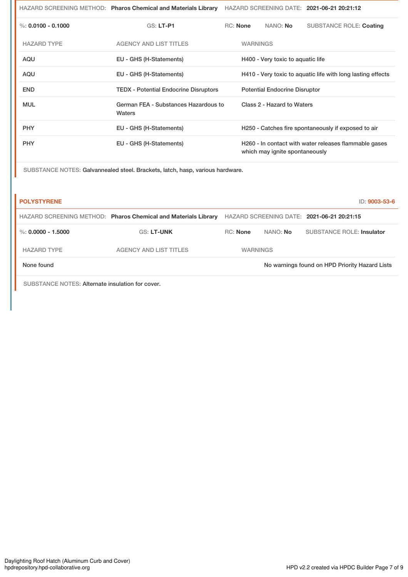|                      | HAZARD SCREENING METHOD: Pharos Chemical and Materials Library |                                                             |                 |                                      | HAZARD SCREENING DATE: 2021-06-21 20:21:12            |
|----------------------|----------------------------------------------------------------|-------------------------------------------------------------|-----------------|--------------------------------------|-------------------------------------------------------|
| %: $0.0100 - 0.1000$ | <b>GS: LT-P1</b>                                               | RC: None                                                    |                 | NANO: No                             | <b>SUBSTANCE ROLE: Coating</b>                        |
| <b>HAZARD TYPE</b>   | <b>AGENCY AND LIST TITLES</b>                                  |                                                             | <b>WARNINGS</b> |                                      |                                                       |
| AQU                  | EU - GHS (H-Statements)                                        | H400 - Very toxic to aquatic life                           |                 |                                      |                                                       |
| AQU                  | EU - GHS (H-Statements)                                        | H410 - Very toxic to aquatic life with long lasting effects |                 |                                      |                                                       |
| <b>END</b>           | <b>TEDX - Potential Endocrine Disruptors</b>                   |                                                             |                 | <b>Potential Endocrine Disruptor</b> |                                                       |
| <b>MUL</b>           | German FEA - Substances Hazardous to<br>Waters                 |                                                             |                 | Class 2 - Hazard to Waters           |                                                       |
| <b>PHY</b>           | EU - GHS (H-Statements)                                        |                                                             |                 |                                      | H250 - Catches fire spontaneously if exposed to air   |
| <b>PHY</b>           | EU - GHS (H-Statements)                                        |                                                             |                 | which may ignite spontaneously       | H260 - In contact with water releases flammable gases |

SUBSTANCE NOTES: Galvannealed steel. Brackets, latch, hasp, various hardware.

| <b>POLYSTYRENE</b>   |                                                                |                 |          | ID: 9003-53-6                                  |
|----------------------|----------------------------------------------------------------|-----------------|----------|------------------------------------------------|
|                      | HAZARD SCREENING METHOD: Pharos Chemical and Materials Library |                 |          | HAZARD SCREENING DATE: 2021-06-21 20:21:15     |
| %: $0.0000 - 1.5000$ | <b>GS: LT-UNK</b>                                              | <b>RC:</b> None | NANO: No | <b>SUBSTANCE ROLE: Insulator</b>               |
| <b>HAZARD TYPE</b>   | <b>AGENCY AND LIST TITLES</b>                                  | <b>WARNINGS</b> |          |                                                |
| None found           |                                                                |                 |          | No warnings found on HPD Priority Hazard Lists |
|                      |                                                                |                 |          |                                                |

SUBSTANCE NOTES: Alternate insulation for cover.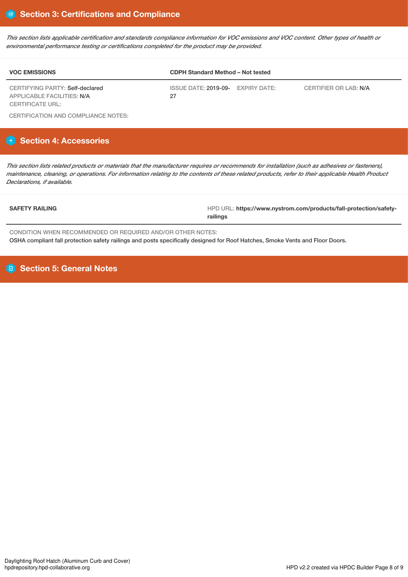This section lists applicable certification and standards compliance information for VOC emissions and VOC content. Other types of health or *environmental performance testing or certifications completed for the product may be provided.*

| <b>VOC EMISSIONS</b>                                          | <b>CDPH Standard Method - Not tested</b> |                       |  |  |
|---------------------------------------------------------------|------------------------------------------|-----------------------|--|--|
| CERTIFYING PARTY: Self-declared<br>APPLICABLE FACILITIES: N/A | ISSUE DATE: 2019-09- EXPIRY DATE:<br>27  | CERTIFIER OR LAB: N/A |  |  |
| CERTIFICATE URL:                                              |                                          |                       |  |  |

CERTIFICATION AND COMPLIANCE NOTES:

# **Section 4: Accessories**

This section lists related products or materials that the manufacturer requires or recommends for installation (such as adhesives or fasteners), maintenance, cleaning, or operations. For information relating to the contents of these related products, refer to their applicable Health Product *Declarations, if available.*

SAFETY RAILING **ALLING HPD URL: https://www.nystrom.com/products/fall-protection/safetyrailings**

CONDITION WHEN RECOMMENDED OR REQUIRED AND/OR OTHER NOTES: OSHA compliant fall protection safety railings and posts specifically designed for Roof Hatches, Smoke Vents and Floor Doors.

**Section 5: General Notes**